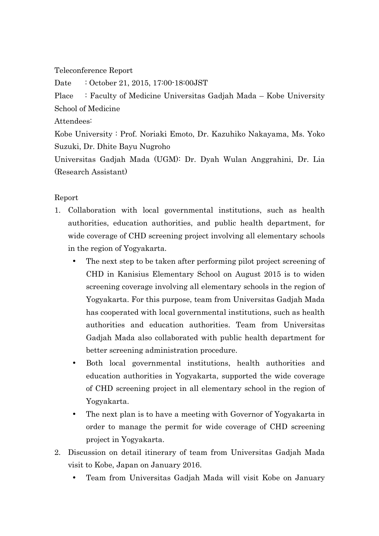Teleconference Report

Date : October 21, 2015, 17:00-18:00JST

Place : Faculty of Medicine Universitas Gadjah Mada – Kobe University School of Medicine

Attendees:

Kobe University : Prof. Noriaki Emoto, Dr. Kazuhiko Nakayama, Ms. Yoko Suzuki, Dr. Dhite Bayu Nugroho

Universitas Gadjah Mada (UGM): Dr. Dyah Wulan Anggrahini, Dr. Lia (Research Assistant)

## Report

- 1. Collaboration with local governmental institutions, such as health authorities, education authorities, and public health department, for wide coverage of CHD screening project involving all elementary schools in the region of Yogyakarta.
	- The next step to be taken after performing pilot project screening of CHD in Kanisius Elementary School on August 2015 is to widen screening coverage involving all elementary schools in the region of Yogyakarta. For this purpose, team from Universitas Gadjah Mada has cooperated with local governmental institutions, such as health authorities and education authorities. Team from Universitas Gadjah Mada also collaborated with public health department for better screening administration procedure.
	- Both local governmental institutions, health authorities and education authorities in Yogyakarta, supported the wide coverage of CHD screening project in all elementary school in the region of Yogyakarta.
	- The next plan is to have a meeting with Governor of Yogyakarta in order to manage the permit for wide coverage of CHD screening project in Yogyakarta.
- 2. Discussion on detail itinerary of team from Universitas Gadjah Mada visit to Kobe, Japan on January 2016.
	- Team from Universitas Gadjah Mada will visit Kobe on January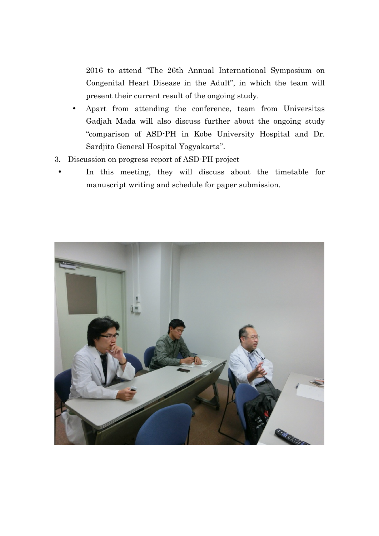2016 to attend "The 26th Annual International Symposium on Congenital Heart Disease in the Adult", in which the team will present their current result of the ongoing study.

- Apart from attending the conference, team from Universitas Gadjah Mada will also discuss further about the ongoing study "comparison of ASD-PH in Kobe University Hospital and Dr. Sardjito General Hospital Yogyakarta".
- 3. Discussion on progress report of ASD-PH project
	- In this meeting, they will discuss about the timetable for manuscript writing and schedule for paper submission.